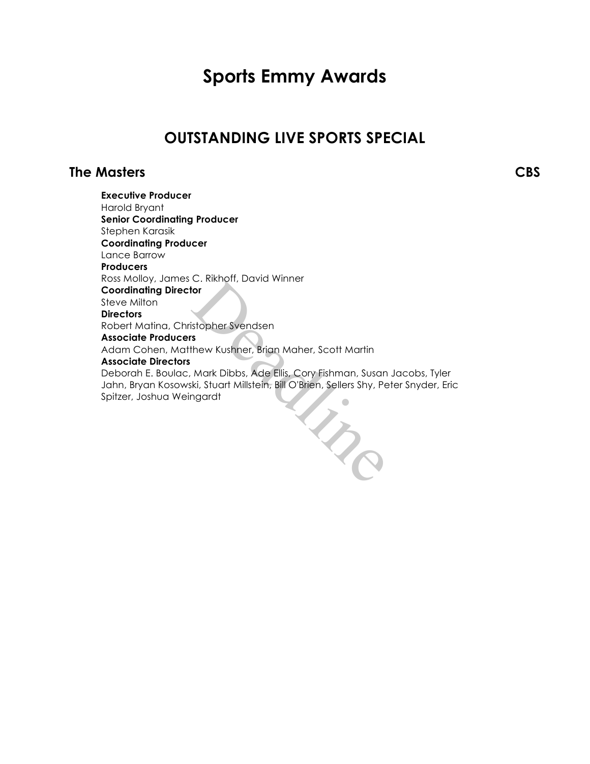# **Sports Emmy Awards**

# **OUTSTANDING LIVE SPORTS SPECIAL**

# **The Masters CBS**

**Executive Producer** Harold Bryant **Senior Coordinating Producer** Stephen Karasik **Coordinating Producer** Lance Barrow **Producers** Ross Molloy, James C. Rikhoff, David Winner **Coordinating Director** Steve Milton **Directors** Robert Matina, Christopher Svendsen **Associate Producers** Adam Cohen, Matthew Kushner, Brian Maher, Scott Martin **Associate Directors** Deborah E. Boulac, Mark Dibbs, Ade Ellis, Cory Fishman, Susan Jacobs, Tyler Jahn, Bryan Kosowski, Stuart Millstein, Bill O'Brien, Sellers Shy, Peter Snyder, Eric Spitzer, Joshua Weingardt I Re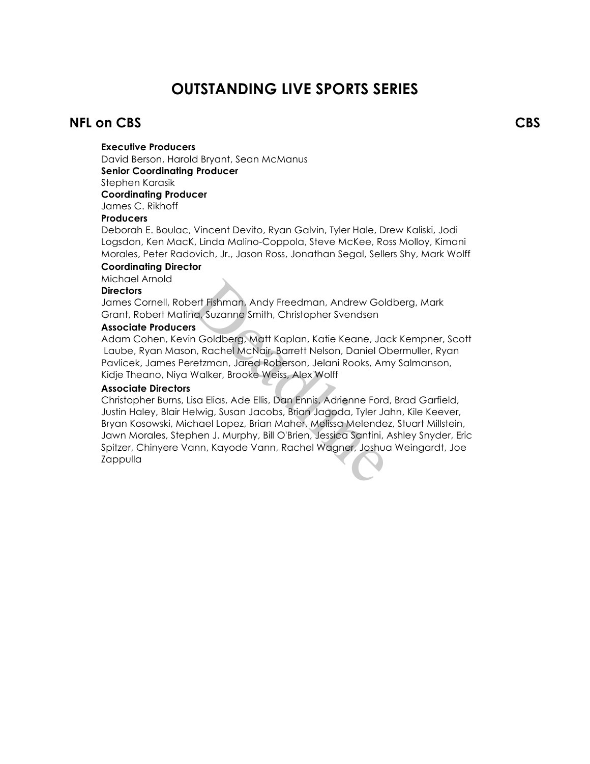# **OUTSTANDING LIVE SPORTS SERIES**

# **NFL on CBS CBS**

# **Executive Producers**

David Berson, Harold Bryant, Sean McManus **Senior Coordinating Producer** Stephen Karasik **Coordinating Producer** James C. Rikhoff

### **Producers**

Deborah E. Boulac, Vincent Devito, Ryan Galvin, Tyler Hale, Drew Kaliski, Jodi Logsdon, Ken MacK, Linda Malino-Coppola, Steve McKee, Ross Molloy, Kimani Morales, Peter Radovich, Jr., Jason Ross, Jonathan Segal, Sellers Shy, Mark Wolff

### **Coordinating Director**

Michael Arnold

### **Directors**

James Cornell, Robert Fishman, Andy Freedman, Andrew Goldberg, Mark Grant, Robert Matina, Suzanne Smith, Christopher Svendsen

### **Associate Producers**

Adam Cohen, Kevin Goldberg, Matt Kaplan, Katie Keane, Jack Kempner, Scott Laube, Ryan Mason, Rachel McNair, Barrett Nelson, Daniel Obermuller, Ryan Pavlicek, James Peretzman, Jared Roberson, Jelani Rooks, Amy Salmanson, Kidje Theano, Niya Walker, Brooke Weiss, Alex Wolff

### **Associate Directors**

Christopher Burns, Lisa Elias, Ade Ellis, Dan Ennis, Adrienne Ford, Brad Garfield, Justin Haley, Blair Helwig, Susan Jacobs, Brian Jagoda, Tyler Jahn, Kile Keever, Bryan Kosowski, Michael Lopez, Brian Maher, Melissa Melendez, Stuart Millstein, Jawn Morales, Stephen J. Murphy, Bill O'Brien, Jessica Santini, Ashley Snyder, Eric Spitzer, Chinyere Vann, Kayode Vann, Rachel Wagner, Joshua Weingardt, Joe Zappulla ert Fishman, Andy Freedman, Andrew Gole<br>
Salima, Suzanne Smith, Christopher Svendsen<br>
Salima, Rachel McNair, Barrett Nelson, Daniel Oletzman, Jared Roberson, Jelani Rooks, Am<br>
Walker, Brooke Weiss, Alex Wolff<br>
Salima, Jare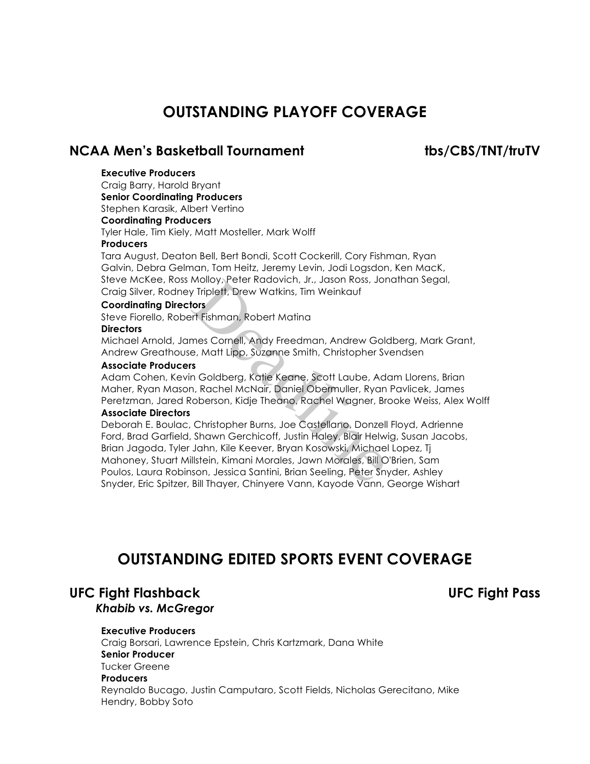# **OUTSTANDING PLAYOFF COVERAGE**

# NCAA Men's Basketball Tournament tbs/CBS/TNT/truTV

# **Executive Producers**

Craig Barry, Harold Bryant

**Senior Coordinating Producers** Stephen Karasik, Albert Vertino

# **Coordinating Producers**

Tyler Hale, Tim Kiely, Matt Mosteller, Mark Wolff

## **Producers**

Tara August, Deaton Bell, Bert Bondi, Scott Cockerill, Cory Fishman, Ryan Galvin, Debra Gelman, Tom Heitz, Jeremy Levin, Jodi Logsdon, Ken MacK, Steve McKee, Ross Molloy, Peter Radovich, Jr., Jason Ross, Jonathan Segal, Craig Silver, Rodney Triplett, Drew Watkins, Tim Weinkauf

## **Coordinating Directors**

Steve Fiorello, Robert Fishman, Robert Matina

## **Directors**

Michael Arnold, James Cornell, Andy Freedman, Andrew Goldberg, Mark Grant, Andrew Greathouse, Matt Lipp, Suzanne Smith, Christopher Svendsen

## **Associate Producers**

Adam Cohen, Kevin Goldberg, Katie Keane, Scott Laube, Adam Llorens, Brian Maher, Ryan Mason, Rachel McNair, Daniel Obermuller, Ryan Pavlicek, James Peretzman, Jared Roberson, Kidje Theano, Rachel Wagner, Brooke Weiss, Alex Wolff **Associate Directors**

# Deborah E. Boulac, Christopher Burns, Joe Castellano, Donzell Floyd, Adrienne

Ford, Brad Garfield, Shawn Gerchicoff, Justin Haley, Blair Helwig, Susan Jacobs, Brian Jagoda, Tyler Jahn, Kile Keever, Bryan Kosowski, Michael Lopez, Tj Mahoney, Stuart Millstein, Kimani Morales, Jawn Morales, Bill O'Brien, Sam Poulos, Laura Robinson, Jessica Santini, Brian Seeling, Peter Snyder, Ashley Snyder, Eric Spitzer, Bill Thayer, Chinyere Vann, Kayode Vann, George Wishart Molloy, Peter Kadovich, Jr., Jason Ross, Jor<br>Triplett, Drew Watkins, Tim Weinkauf<br>**tors**<br>Triplett, Drew Watkins, Tim Weinkauf<br>Triplett, Prew Watkins, Tim Weinkauf<br>Triplett, Political Mollong, Andrew Golde, Add<br>P. Matt Lipp

# **OUTSTANDING EDITED SPORTS EVENT COVERAGE**

# **UFC Fight Flashback UFC Fight Pass** *Khabib vs. McGregor*

# **Executive Producers**

Craig Borsari, Lawrence Epstein, Chris Kartzmark, Dana White **Senior Producer** Tucker Greene **Producers** Reynaldo Bucago, Justin Camputaro, Scott Fields, Nicholas Gerecitano, Mike Hendry, Bobby Soto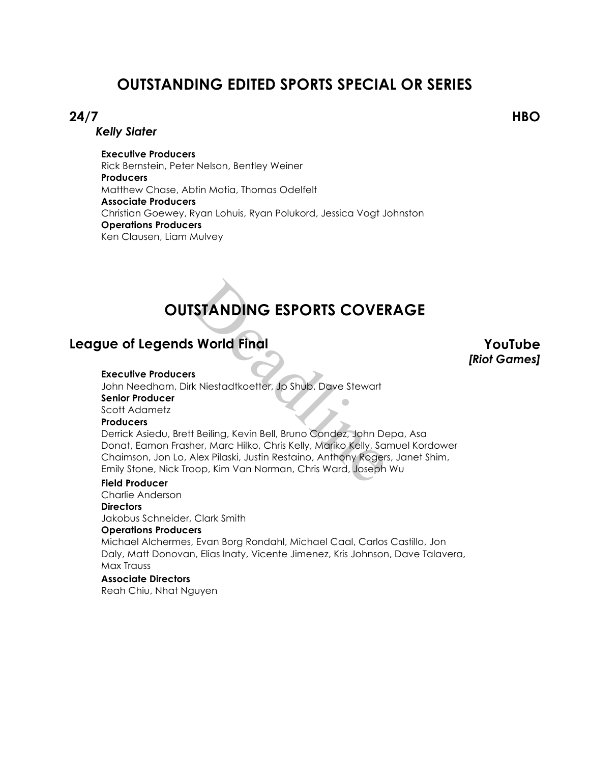# **OUTSTANDING EDITED SPORTS SPECIAL OR SERIES**

# **24/7 HBO**

*Kelly Slater*

**Executive Producers** Rick Bernstein, Peter Nelson, Bentley Weiner **Producers** Matthew Chase, Abtin Motia, Thomas Odelfelt **Associate Producers** Christian Goewey, Ryan Lohuis, Ryan Polukord, Jessica Vogt Johnston **Operations Producers** Ken Clausen, Liam Mulvey

# **OUTSTANDING ESPORTS COVERAGE**

# **League of Legends World Final YouTube**

*[Riot Games]*

### **Executive Producers**

John Needham, Dirk Niestadtkoetter, Jp Shub, Dave Stewart **Senior Producer** Scott Adametz

# **Producers**

Derrick Asiedu, Brett Beiling, Kevin Bell, Bruno Condez, John Depa, Asa Donat, Eamon Frasher, Marc Hilko, Chris Kelly, Mariko Kelly, Samuel Kordower Chaimson, Jon Lo, Alex Pilaski, Justin Restaino, Anthony Rogers, Janet Shim, Emily Stone, Nick Troop, Kim Van Norman, Chris Ward, Joseph Wu **STANDING ESPORTS COVER**<br>
S<br> **World Final**<br>
S<br>
Readlines (Revin Bell, Bruno Condez, John De<br>
Readling, Kevin Bell, Bruno Condez, John De<br>
Alex Pilaski, Justin Restaino, Anthony Roger<br>
Readlex Pilaski, Justin Restaino, Anth

# **Field Producer**

Charlie Anderson **Directors**

Jakobus Schneider, Clark Smith

# **Operations Producers**

Michael Alchermes, Evan Borg Rondahl, Michael Caal, Carlos Castillo, Jon Daly, Matt Donovan, Elias Inaty, Vicente Jimenez, Kris Johnson, Dave Talavera, Max Trauss

# **Associate Directors**

Reah Chiu, Nhat Nguyen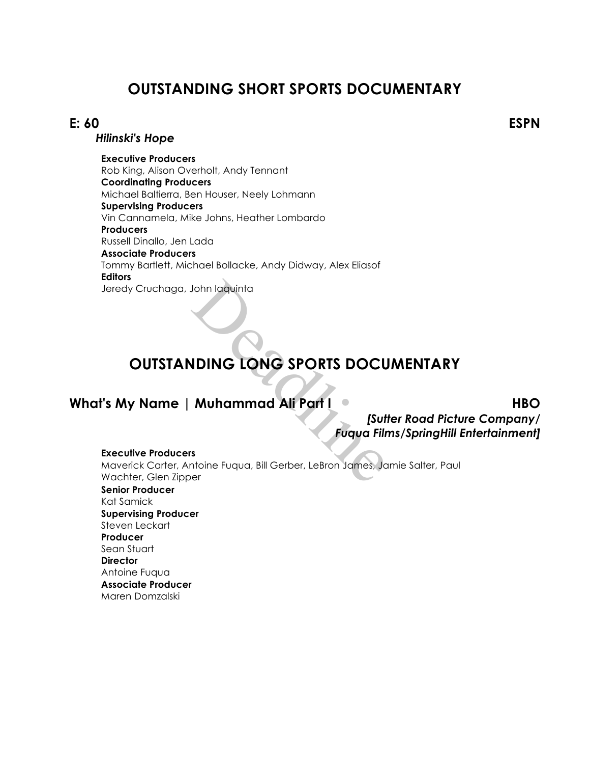# **OUTSTANDING SHORT SPORTS DOCUMENTARY**

# **E: 60 ESPN**

# *Hilinski's Hope*

**Executive Producers** Rob King, Alison Overholt, Andy Tennant **Coordinating Producers** Michael Baltierra, Ben Houser, Neely Lohmann **Supervising Producers** Vin Cannamela, Mike Johns, Heather Lombardo **Producers** Russell Dinallo, Jen Lada **Associate Producers** Tommy Bartlett, Michael Bollacke, Andy Didway, Alex Eliasof **Editors** Jeredy Cruchaga, John Iaquinta

# **OUTSTANDING LONG SPORTS DOCUMENTARY**

# **What's My Name | Muhammad Ali Part I HBO**

*[Sutter Road Picture Company/ Fuqua Films/SpringHill Entertainment]*

### **Executive Producers**

Maverick Carter, Antoine Fuqua, Bill Gerber, LeBron James, Jamie Salter, Paul Wachter, Glen Zipper John Iaquinta<br> **IDING LONG SPORTS DOCU**<br> **Muhammad Ali Part I**<br> **Euqua Film<br>
Sontoine Fuqua, Bill Gerber, LeBron James, Journal** 

**Senior Producer** Kat Samick **Supervising Producer** Steven Leckart **Producer** Sean Stuart **Director** Antoine Fuqua **Associate Producer** Maren Domzalski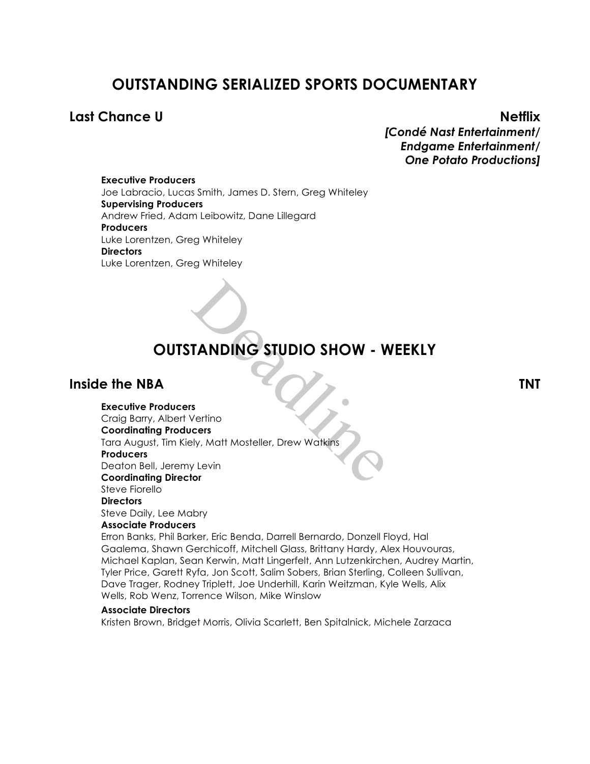# **OUTSTANDING SERIALIZED SPORTS DOCUMENTARY**

# **Last Chance U Netflix**

*[Condé Nast Entertainment/ Endgame Entertainment/ One Potato Productions]*

**Executive Producers** Joe Labracio, Lucas Smith, James D. Stern, Greg Whiteley **Supervising Producers** Andrew Fried, Adam Leibowitz, Dane Lillegard **Producers** Luke Lorentzen, Greg Whiteley **Directors** Luke Lorentzen, Greg Whiteley

# **OUTSTANDING STUDIO SHOW - WEEKLY**

# **Inside the NBA TNT**

### **Executive Producers**

Craig Barry, Albert Vertino **Coordinating Producers** Tara August, Tim Kiely, Matt Mosteller, Drew Watkins **Producers** TANDING STUDIO SHOW - W<br>
S<br>
Vertino<br>
Vertino<br>
Ply, Matt Mosteller, Drew Watkins<br>
V Levin<br>
Nor

Deaton Bell, Jeremy Levin

**Coordinating Director**

### Steve Fiorello **Directors**

Steve Daily, Lee Mabry

### **Associate Producers**

Erron Banks, Phil Barker, Eric Benda, Darrell Bernardo, Donzell Floyd, Hal Gaalema, Shawn Gerchicoff, Mitchell Glass, Brittany Hardy, Alex Houvouras, Michael Kaplan, Sean Kerwin, Matt Lingerfelt, Ann Lutzenkirchen, Audrey Martin, Tyler Price, Garett Ryfa, Jon Scott, Salim Sobers, Brian Sterling, Colleen Sullivan, Dave Trager, Rodney Triplett, Joe Underhill, Karin Weitzman, Kyle Wells, Alix Wells, Rob Wenz, Torrence Wilson, Mike Winslow

# **Associate Directors**

Kristen Brown, Bridget Morris, Olivia Scarlett, Ben Spitalnick, Michele Zarzaca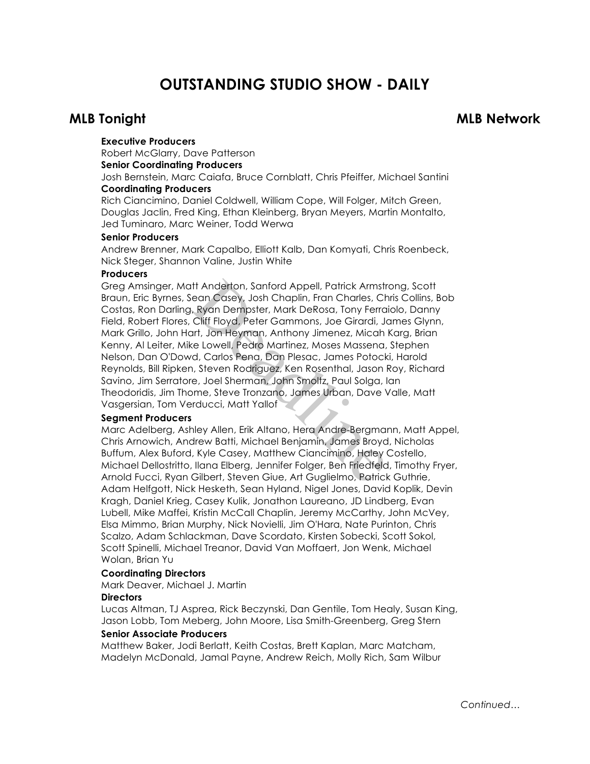# **OUTSTANDING STUDIO SHOW - DAILY**

# **MLB Tonight MLB Network**

## **Executive Producers**

Robert McGlarry, Dave Patterson

# **Senior Coordinating Producers**

Josh Bernstein, Marc Caiafa, Bruce Cornblatt, Chris Pfeiffer, Michael Santini **Coordinating Producers**

Rich Ciancimino, Daniel Coldwell, William Cope, Will Folger, Mitch Green, Douglas Jaclin, Fred King, Ethan Kleinberg, Bryan Meyers, Martin Montalto, Jed Tuminaro, Marc Weiner, Todd Werwa

### **Senior Producers**

Andrew Brenner, Mark Capalbo, Elliott Kalb, Dan Komyati, Chris Roenbeck, Nick Steger, Shannon Valine, Justin White

## **Producers**

Greg Amsinger, Matt Anderton, Sanford Appell, Patrick Armstrong, Scott Braun, Eric Byrnes, Sean Casey, Josh Chaplin, Fran Charles, Chris Collins, Bob Costas, Ron Darling, Ryan Dempster, Mark DeRosa, Tony Ferraiolo, Danny Field, Robert Flores, Cliff Floyd, Peter Gammons, Joe Girardi, James Glynn, Mark Grillo, John Hart, Jon Heyman, Anthony Jimenez, Micah Karg, Brian Kenny, Al Leiter, Mike Lowell, Pedro Martinez, Moses Massena, Stephen Nelson, Dan O'Dowd, Carlos Pena, Dan Plesac, James Potocki, Harold Reynolds, Bill Ripken, Steven Rodriguez, Ken Rosenthal, Jason Roy, Richard Savino, Jim Serratore, Joel Sherman, John Smoltz, Paul Solga, Ian Theodoridis, Jim Thome, Steve Tronzano, James Urban, Dave Valle, Matt Vasgersian, Tom Verducci, Matt Yallof ith Anderton, Sanford Appell, Patrick Armstrean Casey, Josh Chaplin, Fran Charles, Cr<br>
1, Ryan Dempster, Mark DeRosa, Tony Ferra<br>
Cliff Floyd, Peter Gammons, Joe Girardi, Jant, Jon Heyman, Anthony Jimenez, Micah<br>
ke Lowell

### **Segment Producers**

Marc Adelberg, Ashley Allen, Erik Altano, Hera Andre-Bergmann, Matt Appel, Chris Arnowich, Andrew Batti, Michael Benjamin, James Broyd, Nicholas Buffum, Alex Buford, Kyle Casey, Matthew Ciancimino, Haley Costello, Michael Dellostritto, Ilana Elberg, Jennifer Folger, Ben Friedfeld, Timothy Fryer, Arnold Fucci, Ryan Gilbert, Steven Giue, Art Guglielmo, Patrick Guthrie, Adam Helfgott, Nick Hesketh, Sean Hyland, Nigel Jones, David Koplik, Devin Kragh, Daniel Krieg, Casey Kulik, Jonathon Laureano, JD Lindberg, Evan Lubell, Mike Maffei, Kristin McCall Chaplin, Jeremy McCarthy, John McVey, Elsa Mimmo, Brian Murphy, Nick Novielli, Jim O'Hara, Nate Purinton, Chris Scalzo, Adam Schlackman, Dave Scordato, Kirsten Sobecki, Scott Sokol, Scott Spinelli, Michael Treanor, David Van Moffaert, Jon Wenk, Michael Wolan, Brian Yu

# **Coordinating Directors**

Mark Deaver, Michael J. Martin

# **Directors**

Lucas Altman, TJ Asprea, Rick Beczynski, Dan Gentile, Tom Healy, Susan King, Jason Lobb, Tom Meberg, John Moore, Lisa Smith-Greenberg, Greg Stern

### **Senior Associate Producers**

Matthew Baker, Jodi Berlatt, Keith Costas, Brett Kaplan, Marc Matcham, Madelyn McDonald, Jamal Payne, Andrew Reich, Molly Rich, Sam Wilbur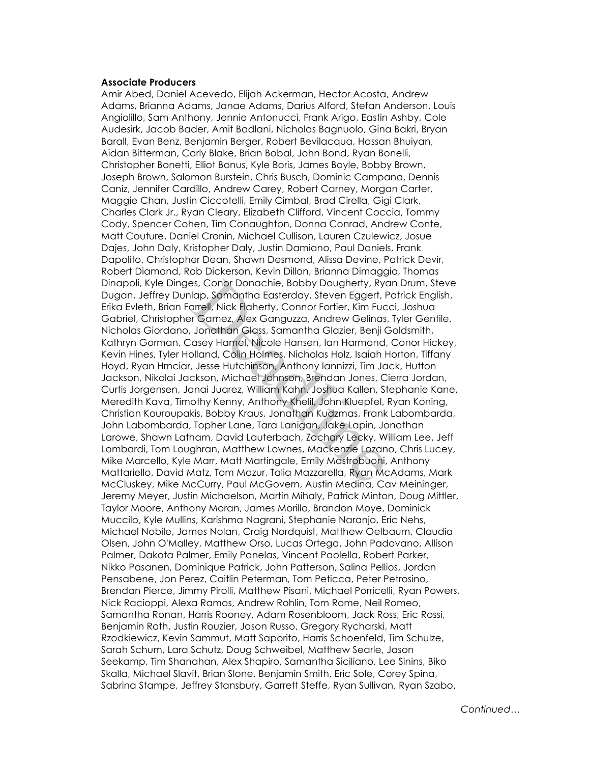# **Associate Producers**

Amir Abed, Daniel Acevedo, Elijah Ackerman, Hector Acosta, Andrew Adams, Brianna Adams, Janae Adams, Darius Alford, Stefan Anderson, Louis Angiolillo, Sam Anthony, Jennie Antonucci, Frank Arigo, Eastin Ashby, Cole Audesirk, Jacob Bader, Amit Badlani, Nicholas Bagnuolo, Gina Bakri, Bryan Barall, Evan Benz, Benjamin Berger, Robert Bevilacqua, Hassan Bhuiyan, Aidan Bitterman, Carly Blake, Brian Bobal, John Bond, Ryan Bonelli, Christopher Bonetti, Elliot Bonus, Kyle Boris, James Boyle, Bobby Brown, Joseph Brown, Salomon Burstein, Chris Busch, Dominic Campana, Dennis Caniz, Jennifer Cardillo, Andrew Carey, Robert Carney, Morgan Carter, Maggie Chan, Justin Ciccotelli, Emily Cimbal, Brad Cirella, Gigi Clark, Charles Clark Jr., Ryan Cleary, Elizabeth Clifford, Vincent Coccia, Tommy Cody, Spencer Cohen, Tim Conaughton, Donna Conrad, Andrew Conte, Matt Couture, Daniel Cronin, Michael Cullison, Lauren Czulewicz, Josue Dajes, John Daly, Kristopher Daly, Justin Damiano, Paul Daniels, Frank Dapolito, Christopher Dean, Shawn Desmond, Alissa Devine, Patrick Devir, Robert Diamond, Rob Dickerson, Kevin Dillon, Brianna Dimaggio, Thomas Dinapoli, Kyle Dinges, Conor Donachie, Bobby Dougherty, Ryan Drum, Steve Dugan, Jeffrey Dunlap, Samantha Easterday, Steven Eggert, Patrick English, Erika Evleth, Brian Farrell, Nick Flaherty, Connor Fortier, Kim Fucci, Joshua Gabriel, Christopher Gamez, Alex Ganguzza, Andrew Gelinas, Tyler Gentile, Nicholas Giordano, Jonathan Glass, Samantha Glazier, Benji Goldsmith, Kathryn Gorman, Casey Hamel, Nicole Hansen, Ian Harmand, Conor Hickey, Kevin Hines, Tyler Holland, Colin Holmes, Nicholas Holz, Isaiah Horton, Tiffany Hoyd, Ryan Hrnciar, Jesse Hutchinson, Anthony Iannizzi, Tim Jack, Hutton Jackson, Nikolai Jackson, Michael Johnson, Brendan Jones, Cierra Jordan, Curtis Jorgensen, Janai Juarez, William Kahn, Joshua Kallen, Stephanie Kane, Meredith Kava, Timothy Kenny, Anthony Khelil, John Kluepfel, Ryan Koning, Christian Kouroupakis, Bobby Kraus, Jonathan Kudzmas, Frank Labombarda, John Labombarda, Topher Lane, Tara Lanigan, Jake Lapin, Jonathan Larowe, Shawn Latham, David Lauterbach, Zachary Lecky, William Lee, Jeff Lombardi, Tom Loughran, Matthew Lownes, Mackenzie Lozano, Chris Lucey, Mike Marcello, Kyle Marr, Matt Martingale, Emily Mastrobuoni, Anthony Mattariello, David Matz, Tom Mazur, Talia Mazzarella, Ryan McAdams, Mark McCluskey, Mike McCurry, Paul McGovern, Austin Medina, Cav Meininger, Jeremy Meyer, Justin Michaelson, Martin Mihaly, Patrick Minton, Doug Mittler, Taylor Moore, Anthony Moran, James Morillo, Brandon Moye, Dominick Muccilo, Kyle Mullins, Karishma Nagrani, Stephanie Naranjo, Eric Nehs, Michael Nobile, James Nolan, Craig Nordquist, Matthew Oelbaum, Claudia Olsen, John O'Malley, Matthew Orso, Lucas Ortega, John Padovano, Allison Palmer, Dakota Palmer, Emily Panelas, Vincent Paolella, Robert Parker, Nikko Pasanen, Dominique Patrick, John Patterson, Salina Pellios, Jordan Pensabene, Jon Perez, Caitlin Peterman, Tom Peticca, Peter Petrosino, Brendan Pierce, Jimmy Pirolli, Matthew Pisani, Michael Porricelli, Ryan Powers, Nick Racioppi, Alexa Ramos, Andrew Rohlin, Tom Rome, Neil Romeo, Samantha Ronan, Harris Rooney, Adam Rosenbloom, Jack Ross, Eric Rossi, Benjamin Roth, Justin Rouzier, Jason Russo, Gregory Rycharski, Matt Rzodkiewicz, Kevin Sammut, Matt Saporito, Harris Schoenfeld, Tim Schulze, Sarah Schum, Lara Schutz, Doug Schweibel, Matthew Searle, Jason Seekamp, Tim Shanahan, Alex Shapiro, Samantha Siciliano, Lee Sinins, Biko Skalla, Michael Slavit, Brian Slone, Benjamin Smith, Eric Sole, Corey Spina, Sabrina Stampe, Jeffrey Stansbury, Garrett Steffe, Ryan Sullivan, Ryan Szabo, es, Conor Donachie, Bobby Dougherty, Rycker, State Chapter, State Chapter, State Chapter, Nick Flaherty, Connor Fortier, Kim Fucher Gamez, Alex Ganguzza, Andrew Gelinas, Jonathan Glass, Samantha Glazier, Benji Casey Hamel,

*Continued…*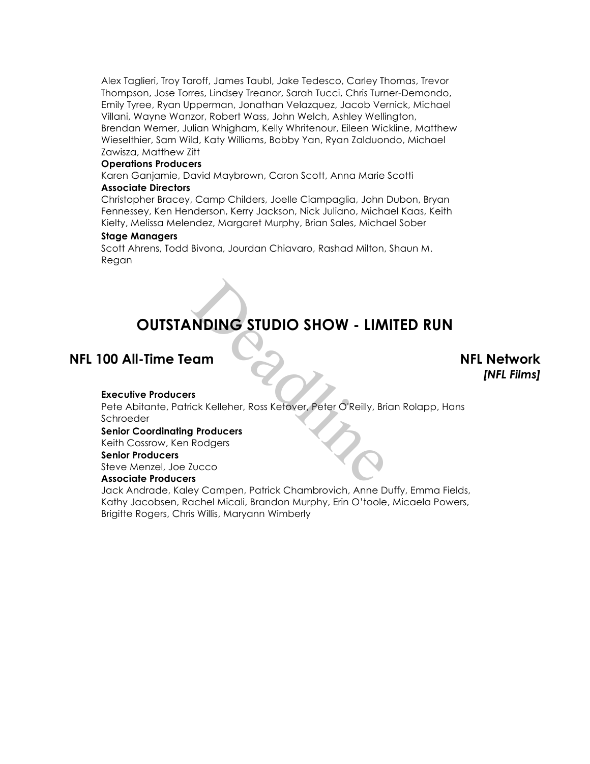Alex Taglieri, Troy Taroff, James Taubl, Jake Tedesco, Carley Thomas, Trevor Thompson, Jose Torres, Lindsey Treanor, Sarah Tucci, Chris Turner-Demondo, Emily Tyree, Ryan Upperman, Jonathan Velazquez, Jacob Vernick, Michael Villani, Wayne Wanzor, Robert Wass, John Welch, Ashley Wellington, Brendan Werner, Julian Whigham, Kelly Whritenour, Eileen Wickline, Matthew Wieselthier, Sam Wild, Katy Williams, Bobby Yan, Ryan Zalduondo, Michael Zawisza, Matthew Zitt

### **Operations Producers**

Karen Ganjamie, David Maybrown, Caron Scott, Anna Marie Scotti

# **Associate Directors**

Christopher Bracey, Camp Childers, Joelle Ciampaglia, John Dubon, Bryan Fennessey, Ken Henderson, Kerry Jackson, Nick Juliano, Michael Kaas, Keith Kielty, Melissa Melendez, Margaret Murphy, Brian Sales, Michael Sober

### **Stage Managers**

Scott Ahrens, Todd Bivona, Jourdan Chiavaro, Rashad Milton, Shaun M. Regan

# **OUTSTANDING STUDIO SHOW - LIMITED RUN**

# **NFL 100 All-Time Team NFL Network**

*[NFL Films]*

### **Executive Producers**

Pete Abitante, Patrick Kelleher, Ross Ketover, Peter O'Reilly, Brian Rolapp, Hans Schroeder Deadline

### **Senior Coordinating Producers**

Keith Cossrow, Ken Rodgers

# **Senior Producers**

Steve Menzel, Joe Zucco **Associate Producers**

Jack Andrade, Kaley Campen, Patrick Chambrovich, Anne Duffy, Emma Fields, Kathy Jacobsen, Rachel Micali, Brandon Murphy, Erin O'toole, Micaela Powers, Brigitte Rogers, Chris Willis, Maryann Wimberly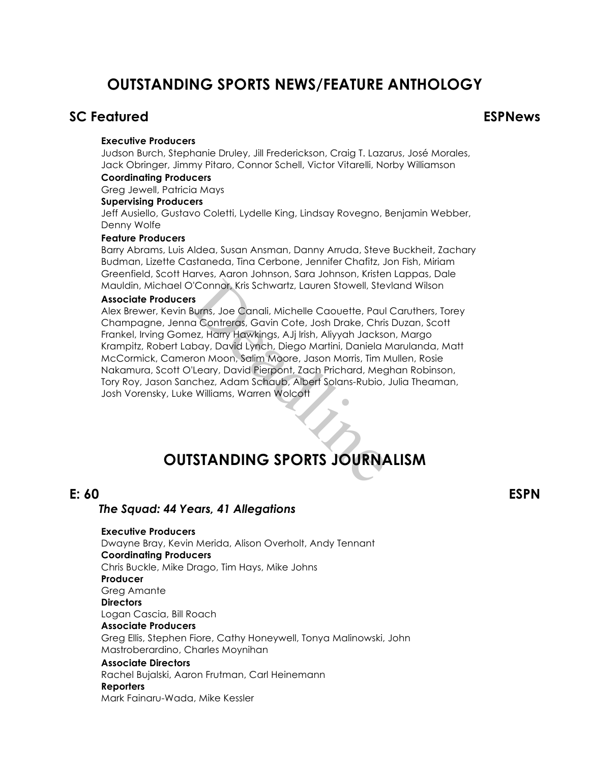# **OUTSTANDING SPORTS NEWS/FEATURE ANTHOLOGY**

# **SC Featured ESPNews**

### **Executive Producers**

Judson Burch, Stephanie Druley, Jill Frederickson, Craig T. Lazarus, José Morales, Jack Obringer, Jimmy Pitaro, Connor Schell, Victor Vitarelli, Norby Williamson

# **Coordinating Producers**

Greg Jewell, Patricia Mays

# **Supervising Producers**

Jeff Ausiello, Gustavo Coletti, Lydelle King, Lindsay Rovegno, Benjamin Webber, Denny Wolfe

# **Feature Producers**

Barry Abrams, Luis Aldea, Susan Ansman, Danny Arruda, Steve Buckheit, Zachary Budman, Lizette Castaneda, Tina Cerbone, Jennifer Chafitz, Jon Fish, Miriam Greenfield, Scott Harves, Aaron Johnson, Sara Johnson, Kristen Lappas, Dale Mauldin, Michael O'Connor, Kris Schwartz, Lauren Stowell, Stevland Wilson

### **Associate Producers**

**Executive Producers**

Alex Brewer, Kevin Burns, Joe Canali, Michelle Caouette, Paul Caruthers, Torey Champagne, Jenna Contreras, Gavin Cote, Josh Drake, Chris Duzan, Scott Frankel, Irving Gomez, Harry Hawkings, AJj Irish, Aliyyah Jackson, Margo Krampitz, Robert Labay, David Lynch, Diego Martini, Daniela Marulanda, Matt McCormick, Cameron Moon, Salim Moore, Jason Morris, Tim Mullen, Rosie Nakamura, Scott O'Leary, David Pierpont, Zach Prichard, Meghan Robinson, Tory Roy, Jason Sanchez, Adam Schaub, Albert Solans-Rubio, Julia Theaman, Josh Vorensky, Luke Williams, Warren Wolcott Connor, Kris Schwartz, Lauren Stowell, Stev<br>
Surns, Joe Canali, Michelle Caouette, Paul<br>
a Contreras, Gavin Cote, Josh Drake, Chris<br>
ez, Harry Hawkings, AJj Irish, Aliyyah Jacksc<br>
bay, David Lynch, Diego Martini, Daniela M

# **OUTSTANDING SPORTS JOURNALISM**

# *The Squad: 44 Years, 41 Allegations*

**E: 60 ESPN**

# Dwayne Bray, Kevin Merida, Alison Overholt, Andy Tennant **Coordinating Producers** Chris Buckle, Mike Drago, Tim Hays, Mike Johns **Producer** Greg Amante **Directors** Logan Cascia, Bill Roach **Associate Producers** Greg Ellis, Stephen Fiore, Cathy Honeywell, Tonya Malinowski, John Mastroberardino, Charles Moynihan **Associate Directors** Rachel Bujalski, Aaron Frutman, Carl Heinemann **Reporters** Mark Fainaru-Wada, Mike Kessler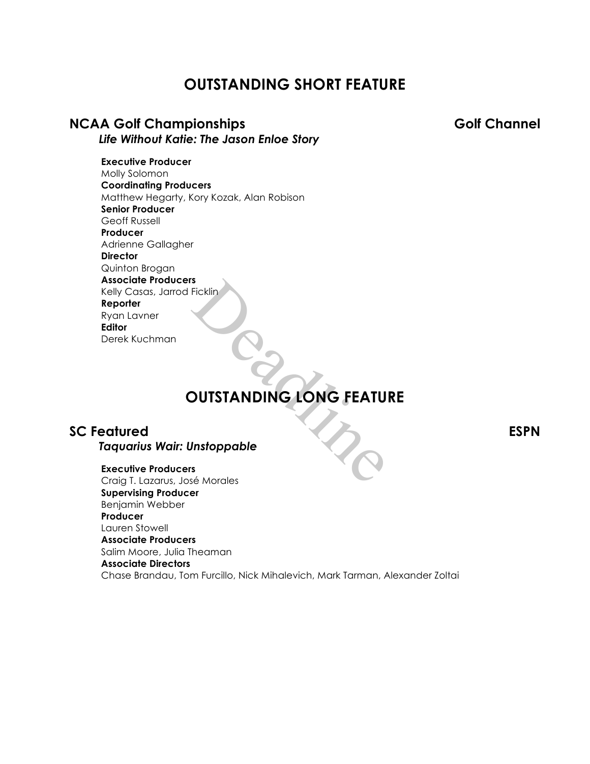# **OUTSTANDING SHORT FEATURE**

# **NCAA Golf Championships Golf Channel**

*Life Without Katie: The Jason Enloe Story*

# **Executive Producer**

Molly Solomon **Coordinating Producers** Matthew Hegarty, Kory Kozak, Alan Robison **Senior Producer** Geoff Russell **Producer** Adrienne Gallagher **Director** Quinton Brogan **Associate Producers** Kelly Casas, Jarrod Ficklin **Reporter** Ryan Lavner **Editor** Derek Kuchman s<br>Fickline<br>DUTSTANDING LONG FEATU

# **OUTSTANDING LONG FEATURE**

# **SC Featured ESPN** *Taquarius Wair: Unstoppable*

### **Executive Producers**

Craig T. Lazarus, José Morales **Supervising Producer** Benjamin Webber **Producer** Lauren Stowell **Associate Producers** Salim Moore, Julia Theaman **Associate Directors** Chase Brandau, Tom Furcillo, Nick Mihalevich, Mark Tarman, Alexander Zoltai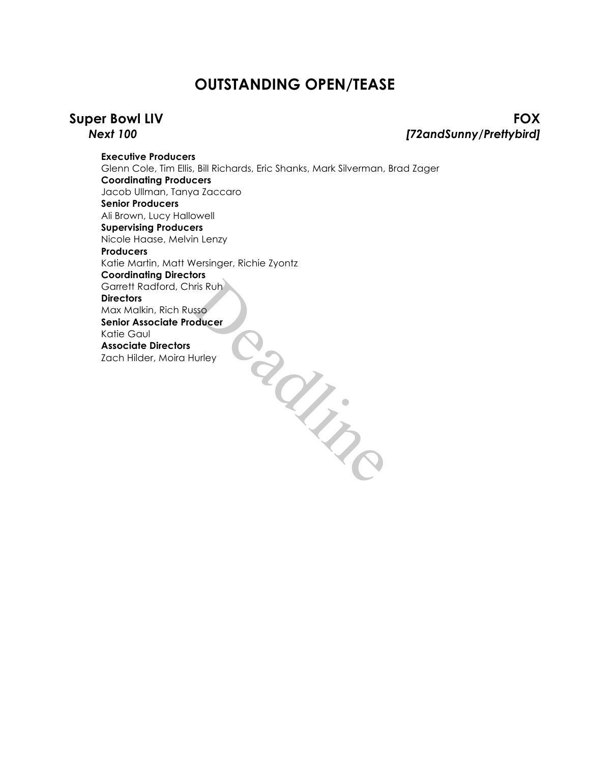# **OUTSTANDING OPEN/TEASE**

**Super Bowl LIV FOX** *Next 100 [72andSunny/Prettybird]*

**Executive Producers** Glenn Cole, Tim Ellis, Bill Richards, Eric Shanks, Mark Silverman, Brad Zager **Coordinating Producers** Jacob Ullman, Tanya Zaccaro **Senior Producers** Ali Brown, Lucy Hallowell **Supervising Producers** Nicole Haase, Melvin Lenzy **Producers** Katie Martin, Matt Wersinger, Richie Zyontz **Coordinating Directors** Garrett Radford, Chris Ruh **Directors** Max Malkin, Rich Russo **Senior Associate Producer** Katie Gaul **Associate Directors** Zach Hilder, Moira Hurley Dans Car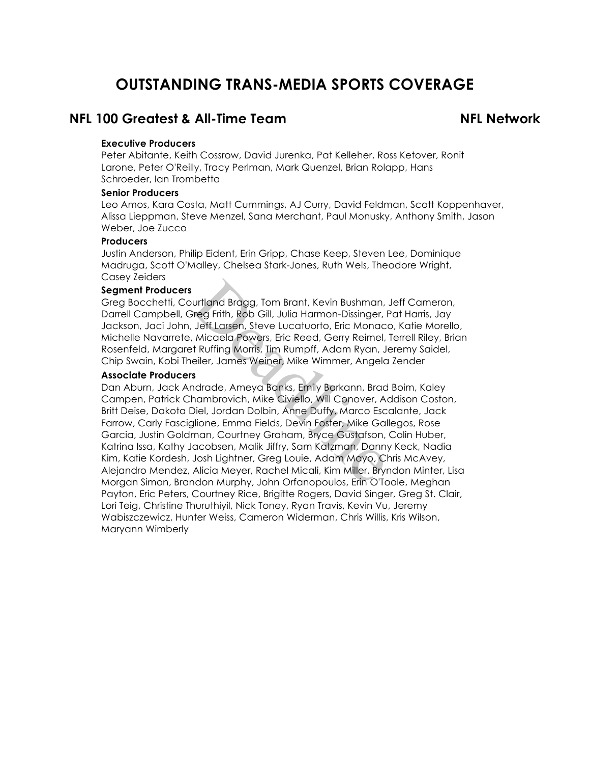# **OUTSTANDING TRANS-MEDIA SPORTS COVERAGE**

# **NFL 100 Greatest & All-Time Team NFL Network**

### **Executive Producers**

Peter Abitante, Keith Cossrow, David Jurenka, Pat Kelleher, Ross Ketover, Ronit Larone, Peter O'Reilly, Tracy Perlman, Mark Quenzel, Brian Rolapp, Hans Schroeder, Ian Trombetta

### **Senior Producers**

Leo Amos, Kara Costa, Matt Cummings, AJ Curry, David Feldman, Scott Koppenhaver, Alissa Lieppman, Steve Menzel, Sana Merchant, Paul Monusky, Anthony Smith, Jason Weber, Joe Zucco

# **Producers**

Justin Anderson, Philip Eident, Erin Gripp, Chase Keep, Steven Lee, Dominique Madruga, Scott O'Malley, Chelsea Stark-Jones, Ruth Wels, Theodore Wright, Casey Zeiders

### **Segment Producers**

Greg Bocchetti, Courtland Bragg, Tom Brant, Kevin Bushman, Jeff Cameron, Darrell Campbell, Greg Frith, Rob Gill, Julia Harmon-Dissinger, Pat Harris, Jay Jackson, Jaci John, Jeff Larsen, Steve Lucatuorto, Eric Monaco, Katie Morello, Michelle Navarrete, Micaela Powers, Eric Reed, Gerry Reimel, Terrell Riley, Brian Rosenfeld, Margaret Ruffing Morris, Tim Rumpff, Adam Ryan, Jeremy Saidel, Chip Swain, Kobi Theiler, James Weiner, Mike Wimmer, Angela Zender

### **Associate Producers**

Dan Aburn, Jack Andrade, Ameya Banks, Emily Barkann, Brad Boim, Kaley Campen, Patrick Chambrovich, Mike Civiello, Will Conover, Addison Coston, Britt Deise, Dakota Diel, Jordan Dolbin, Anne Duffy, Marco Escalante, Jack Farrow, Carly Fasciglione, Emma Fields, Devin Foster, Mike Gallegos, Rose Garcia, Justin Goldman, Courtney Graham, Bryce Gustafson, Colin Huber, Katrina Issa, Kathy Jacobsen, Malik Jiffry, Sam Katzman, Danny Keck, Nadia Kim, Katie Kordesh, Josh Lightner, Greg Louie, Adam Mayo, Chris McAvey, Alejandro Mendez, Alicia Meyer, Rachel Micali, Kim Miller, Bryndon Minter, Lisa Morgan Simon, Brandon Murphy, John Orfanopoulos, Erin O'Toole, Meghan Payton, Eric Peters, Courtney Rice, Brigitte Rogers, David Singer, Greg St. Clair, Lori Teig, Christine Thuruthiyil, Nick Toney, Ryan Travis, Kevin Vu, Jeremy Wabiszczewicz, Hunter Weiss, Cameron Widerman, Chris Willis, Kris Wilson, Maryann Wimberly i<br>Bourtland Bragg, Tom Brant, Kevin Bushman,<br>Sreg Frith, Rob Gill, Julia Harmon-Dissinger, I<br>Jeff Larsen, Steve Lucatuorto, Eric Monac,<br>Micaela Powers, Eric Reed, Gerry Reimel,<br>Heller, James Weiner, Mike Wimmer, Angela<br>Sta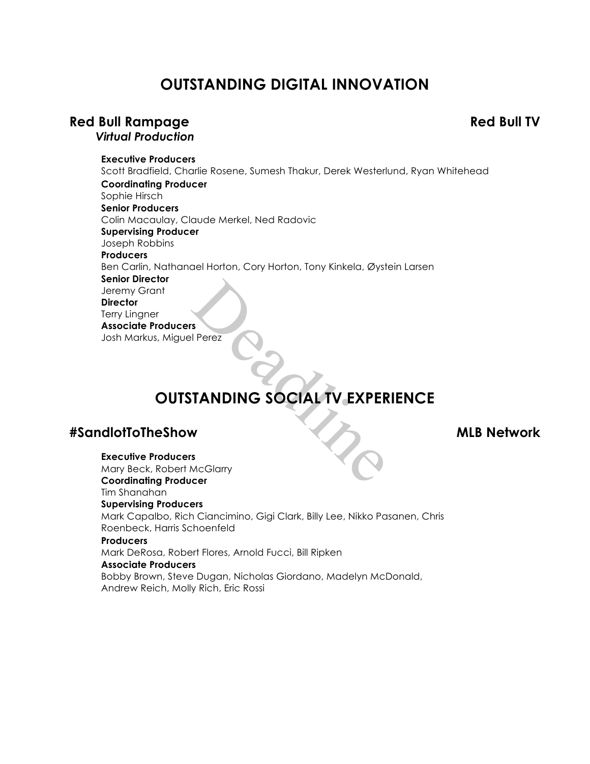# **OUTSTANDING DIGITAL INNOVATION**

# **Red Bull Rampage Red Bull TV**

*Virtual Production*

# **Executive Producers**

Scott Bradfield, Charlie Rosene, Sumesh Thakur, Derek Westerlund, Ryan Whitehead **Coordinating Producer** Sophie Hirsch **Senior Producers** Colin Macaulay, Claude Merkel, Ned Radovic **Supervising Producer** Joseph Robbins **Producers** Ben Carlin, Nathanael Horton, Cory Horton, Tony Kinkela, Øystein Larsen **Senior Director** Jeremy Grant **Director** Terry Lingner **Associate Producers** Josh Markus, Miguel Perez S<br>Deadlines<br>TANDING SOCIAL TV EXPER

# **OUTSTANDING SOCIAL TV EXPERIENCE**

# **#SandlotToTheShow MLB Network**

**Executive Producers**

Mary Beck, Robert McGlarry **Coordinating Producer** Tim Shanahan **Supervising Producers** Mark Capalbo, Rich Ciancimino, Gigi Clark, Billy Lee, Nikko Pasanen, Chris Roenbeck, Harris Schoenfeld **Producers** Mark DeRosa, Robert Flores, Arnold Fucci, Bill Ripken **Associate Producers** Bobby Brown, Steve Dugan, Nicholas Giordano, Madelyn McDonald,

Andrew Reich, Molly Rich, Eric Rossi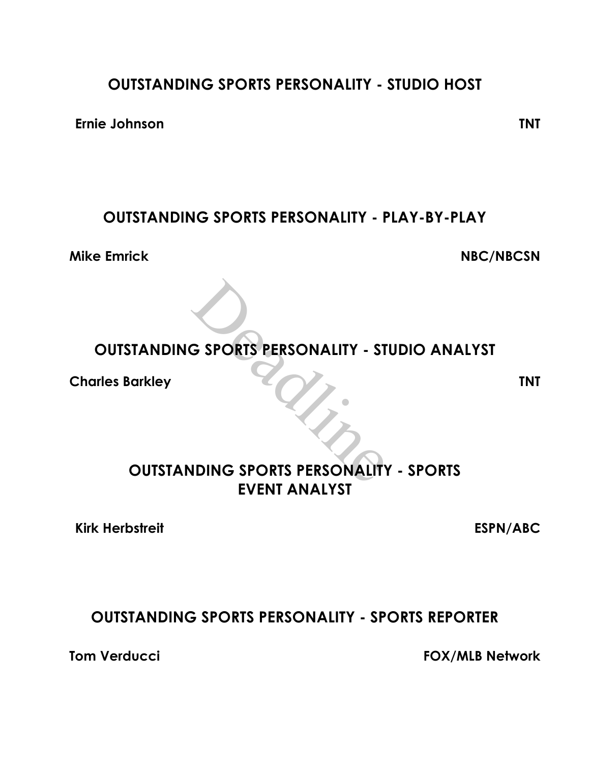# **OUTSTANDING SPORTS PERSONALITY - STUDIO HOST**

**Ernie Johnson TNT**

# **OUTSTANDING SPORTS PERSONALITY - PLAY-BY-PLAY**

**Mike Emrick NBC/NBCSN**

# **OUTSTANDING SPORTS PERSONALITY - STUDIO ANALYST**

**Charles Barkley TNT**

# **OUTSTANDING SPORTS PERSONALITY - SPORTS EVENT ANALYST** S SPORTS PERSONALITY - ST

**Kirk Herbstreit ESPN/ABC**

# **OUTSTANDING SPORTS PERSONALITY - SPORTS REPORTER**

**Tom Verducci FOX/MLB Network**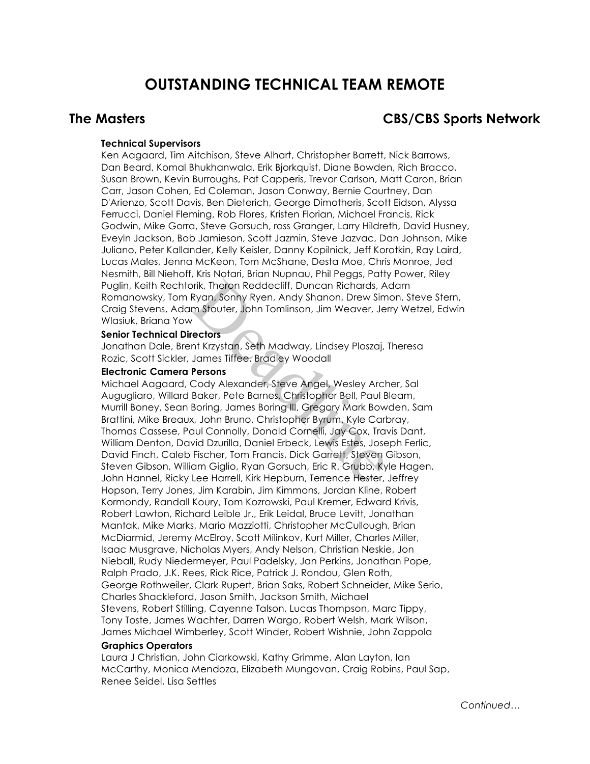# **OUTSTANDING TECHNICAL TEAM REMOTE**

# **The Masters CBS/CBS Sports Network**

## **Technical Supervisors**

Ken Aagaard, Tim Aitchison, Steve Alhart, Christopher Barrett, Nick Barrows, Dan Beard, Komal Bhukhanwala, Erik Bjorkquist, Diane Bowden, Rich Bracco, Susan Brown, Kevin Burroughs, Pat Capperis, Trevor Carlson, Matt Caron, Brian Carr, Jason Cohen, Ed Coleman, Jason Conway, Bernie Courtney, Dan D'Arienzo, Scott Davis, Ben Dieterich, George Dimotheris, Scott Eidson, Alyssa Ferrucci, Daniel Fleming, Rob Flores, Kristen Florian, Michael Francis, Rick Godwin, Mike Gorra, Steve Gorsuch, ross Granger, Larry Hildreth, David Husney, Eveyln Jackson, Bob Jamieson, Scott Jazmin, Steve Jazvac, Dan Johnson, Mike Juliano, Peter Kallander, Kelly Keisler, Danny Kopilnick, Jeff Korotkin, Ray Laird, Lucas Males, Jenna McKeon, Tom McShane, Desta Moe, Chris Monroe, Jed Nesmith, Bill Niehoff, Kris Notari, Brian Nupnau, Phil Peggs, Patty Power, Riley Puglin, Keith Rechtorik, Theron Reddecliff, Duncan Richards, Adam Romanowsky, Tom Ryan, Sonny Ryen, Andy Shanon, Drew Simon, Steve Stern, Craig Stevens, Adam Stouter, John Tomlinson, Jim Weaver, Jerry Wetzel, Edwin Wlasiuk, Briana Yow

### **Senior Technical Directors**

Jonathan Dale, Brent Krzystan, Seth Madway, Lindsey Ploszaj, Theresa Rozic, Scott Sickler, James Tiffee, Bradley Woodall

### **Electronic Camera Persons**

Michael Aagaard, Cody Alexander, Steve Angel, Wesley Archer, Sal Augugliaro, Willard Baker, Pete Barnes, Christopher Bell, Paul Bleam, Murrill Boney, Sean Boring, James Boring III, Gregory Mark Bowden, Sam Brattini, Mike Breaux, John Bruno, Christopher Byrum, Kyle Carbray, Thomas Cassese, Paul Connolly, Donald Cornelli, Jay Cox, Travis Dant, William Denton, David Dzurilla, Daniel Erbeck, Lewis Estes, Joseph Ferlic, David Finch, Caleb Fischer, Tom Francis, Dick Garrett, Steven Gibson, Steven Gibson, William Giglio, Ryan Gorsuch, Eric R. Grubb, Kyle Hagen, John Hannel, Ricky Lee Harrell, Kirk Hepburn, Terrence Hester, Jeffrey Hopson, Terry Jones, Jim Karabin, Jim Kimmons, Jordan Kline, Robert Kormondy, Randall Koury, Tom Kozrowski, Paul Kremer, Edward Krivis, Robert Lawton, Richard Leible Jr., Erik Leidal, Bruce Levitt, Jonathan Mantak, Mike Marks, Mario Mazziotti, Christopher McCullough, Brian McDiarmid, Jeremy McElroy, Scott Milinkov, Kurt Miller, Charles Miller, Isaac Musgrave, Nicholas Myers, Andy Nelson, Christian Neskie, Jon Nieball, Rudy Niedermeyer, Paul Padelsky, Jan Perkins, Jonathan Pope, Ralph Prado, J.K. Rees, Rick Rice, Patrick J. Rondou, Glen Roth, George Rothweiler, Clark Rupert, Brian Saks, Robert Schneider, Mike Serio, Charles Shackleford, Jason Smith, Jackson Smith, Michael Stevens, Robert Stilling, Cayenne Talson, Lucas Thompson, Marc Tippy, Tony Toste, James Wachter, Darren Wargo, Robert Welsh, Mark Wilson, James Michael Wimberley, Scott Winder, Robert Wishnie, John Zappola brik, Theron Reddecliff, Duncan Richards, A<br>Ryan, Sonny Ryen, Andy Shanon, Drew Sim<br>m Stouter, John Tomlinson, Jim Weaver, Je<br>rectors<br>and Krzystan, Seth Madway, Lindsey Ploszaj,<br>James Tiffee, Bradley Woodall<br>**Persons**<br>Cody

### **Graphics Operators**

Laura J Christian, John Ciarkowski, Kathy Grimme, Alan Layton, Ian McCarthy, Monica Mendoza, Elizabeth Mungovan, Craig Robins, Paul Sap, Renee Seidel, Lisa Settles

*Continued…*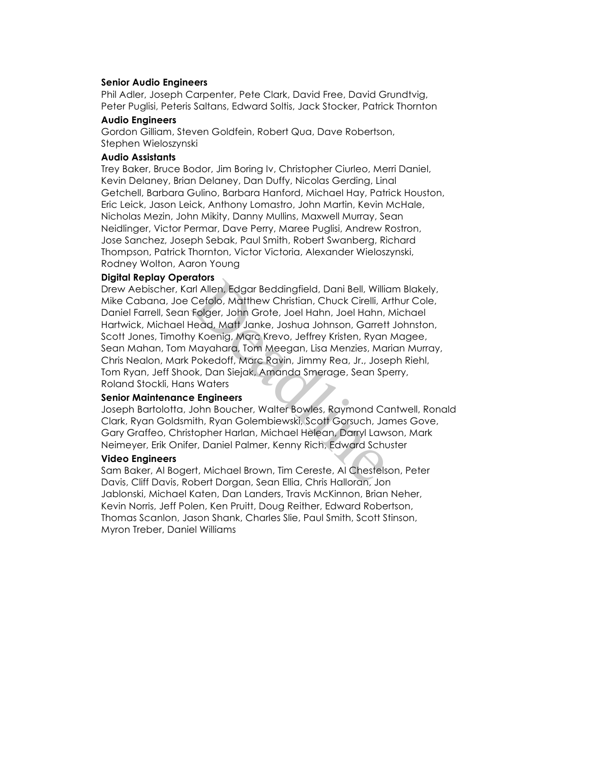### **Senior Audio Engineers**

Phil Adler, Joseph Carpenter, Pete Clark, David Free, David Grundtvig, Peter Puglisi, Peteris Saltans, Edward Soltis, Jack Stocker, Patrick Thornton

### **Audio Engineers**

Gordon Gilliam, Steven Goldfein, Robert Qua, Dave Robertson, Stephen Wieloszynski

### **Audio Assistants**

Trey Baker, Bruce Bodor, Jim Boring Iv, Christopher Ciurleo, Merri Daniel, Kevin Delaney, Brian Delaney, Dan Duffy, Nicolas Gerding, Linal Getchell, Barbara Gulino, Barbara Hanford, Michael Hay, Patrick Houston, Eric Leick, Jason Leick, Anthony Lomastro, John Martin, Kevin McHale, Nicholas Mezin, John Mikity, Danny Mullins, Maxwell Murray, Sean Neidlinger, Victor Permar, Dave Perry, Maree Puglisi, Andrew Rostron, Jose Sanchez, Joseph Sebak, Paul Smith, Robert Swanberg, Richard Thompson, Patrick Thornton, Victor Victoria, Alexander Wieloszynski, Rodney Wolton, Aaron Young

### **Digital Replay Operators**

Drew Aebischer, Karl Allen, Edgar Beddingfield, Dani Bell, William Blakely, Mike Cabana, Joe Cefolo, Matthew Christian, Chuck Cirelli, Arthur Cole, Daniel Farrell, Sean Folger, John Grote, Joel Hahn, Joel Hahn, Michael Hartwick, Michael Head, Matt Janke, Joshua Johnson, Garrett Johnston, Scott Jones, Timothy Koenig, Marc Krevo, Jeffrey Kristen, Ryan Magee, Sean Mahan, Tom Mayahara, Tom Meegan, Lisa Menzies, Marian Murray, Chris Nealon, Mark Pokedoff, Marc Ravin, Jimmy Rea, Jr., Joseph Riehl, Tom Ryan, Jeff Shook, Dan Siejak, Amanda Smerage, Sean Sperry, Roland Stockli, Hans Waters ularis<br>In Allen, Edgar Beddingfield, Dani Bell, Willia<br>Cefolo, Matthew Christian, Chuck Cirelli, A<br>Folger, John Grote, Joel Hahn, Joel Hahn,<br>Head, Matt Janke, Joshua Johnson, Garrett<br>y Koenig, Marc Krevo, Jeffrey Kristen,

### **Senior Maintenance Engineers**

Joseph Bartolotta, John Boucher, Walter Bowles, Raymond Cantwell, Ronald Clark, Ryan Goldsmith, Ryan Golembiewski, Scott Gorsuch, James Gove, Gary Graffeo, Christopher Harlan, Michael Helean, Darryl Lawson, Mark Neimeyer, Erik Onifer, Daniel Palmer, Kenny Rich, Edward Schuster

### **Video Engineers**

Sam Baker, Al Bogert, Michael Brown, Tim Cereste, Al Chestelson, Peter Davis, Cliff Davis, Robert Dorgan, Sean Ellia, Chris Halloran, Jon Jablonski, Michael Katen, Dan Landers, Travis McKinnon, Brian Neher, Kevin Norris, Jeff Polen, Ken Pruitt, Doug Reither, Edward Robertson, Thomas Scanlon, Jason Shank, Charles Slie, Paul Smith, Scott Stinson, Myron Treber, Daniel Williams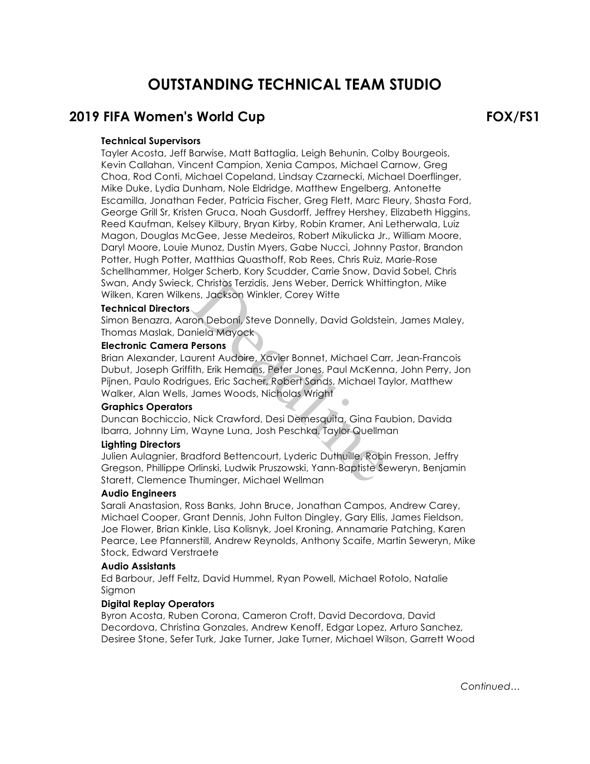# **OUTSTANDING TECHNICAL TEAM STUDIO**

# **2019 FIFA Women's World Cup FOX/FS1**

## **Technical Supervisors**

Tayler Acosta, Jeff Barwise, Matt Battaglia, Leigh Behunin, Colby Bourgeois, Kevin Callahan, Vincent Campion, Xenia Campos, Michael Carnow, Greg Choa, Rod Conti, Michael Copeland, Lindsay Czarnecki, Michael Doerflinger, Mike Duke, Lydia Dunham, Nole Eldridge, Matthew Engelberg, Antonette Escamilla, Jonathan Feder, Patricia Fischer, Greg Flett, Marc Fleury, Shasta Ford, George Grill Sr, Kristen Gruca, Noah Gusdorff, Jeffrey Hershey, Elizabeth Higgins, Reed Kaufman, Kelsey Kilbury, Bryan Kirby, Robin Kramer, Ani Letherwala, Luiz Magon, Douglas McGee, Jesse Medeiros, Robert Mikulicka Jr., William Moore, Daryl Moore, Louie Munoz, Dustin Myers, Gabe Nucci, Johnny Pastor, Brandon Potter, Hugh Potter, Matthias Quasthoff, Rob Rees, Chris Ruiz, Marie-Rose Schellhammer, Holger Scherb, Kory Scudder, Carrie Snow, David Sobel, Chris Swan, Andy Swieck, Christos Terzidis, Jens Weber, Derrick Whittington, Mike Wilken, Karen Wilkens, Jackson Winkler, Corey Witte

### **Technical Directors**

Simon Benazra, Aaron Deboni, Steve Donnelly, David Goldstein, James Maley, Thomas Maslak, Daniela Mayock

### **Electronic Camera Persons**

Brian Alexander, Laurent Audoire, Xavier Bonnet, Michael Carr, Jean-Francois Dubut, Joseph Griffith, Erik Hemans, Peter Jones, Paul McKenna, John Perry, Jon Pijnen, Paulo Rodrigues, Eric Sacher, Robert Sands, Michael Taylor, Matthew Walker, Alan Wells, James Woods, Nicholas Wright , Christos Terzidis, Jens Weber, Derrick Whiti<br>
Ins, Jackson Winkler, Corey Witte<br>
Con Deboni, Steve Donnelly, David Goldstei<br>
niela Mayock<br> **Persons**<br>
urent Audoire, Xavier Bonnet, Michael Car<br>
ith, Erik Hemans, Peter Jon

### **Graphics Operators**

Duncan Bochiccio, Nick Crawford, Desi Demesquita, Gina Faubion, Davida Ibarra, Johnny Lim, Wayne Luna, Josh Peschka, Taylor Quellman

### **Lighting Directors**

Julien Aulagnier, Bradford Bettencourt, Lyderic Duthuille, Robin Fresson, Jeffry Gregson, Phillippe Orlinski, Ludwik Pruszowski, Yann-Baptiste Seweryn, Benjamin Starett, Clemence Thuminger, Michael Wellman

### **Audio Engineers**

Sarali Anastasion, Ross Banks, John Bruce, Jonathan Campos, Andrew Carey, Michael Cooper, Grant Dennis, John Fulton Dingley, Gary Ellis, James Fieldson, Joe Flower, Brian Kinkle, Lisa Kolisnyk, Joel Kroning, Annamarie Patching, Karen Pearce, Lee Pfannerstill, Andrew Reynolds, Anthony Scaife, Martin Seweryn, Mike Stock, Edward Verstraete

### **Audio Assistants**

Ed Barbour, Jeff Feltz, David Hummel, Ryan Powell, Michael Rotolo, Natalie Sigmon

### **Digital Replay Operators**

Byron Acosta, Ruben Corona, Cameron Croft, David Decordova, David Decordova, Christina Gonzales, Andrew Kenoff, Edgar Lopez, Arturo Sanchez, Desiree Stone, Sefer Turk, Jake Turner, Jake Turner, Michael Wilson, Garrett Wood

*Continued…*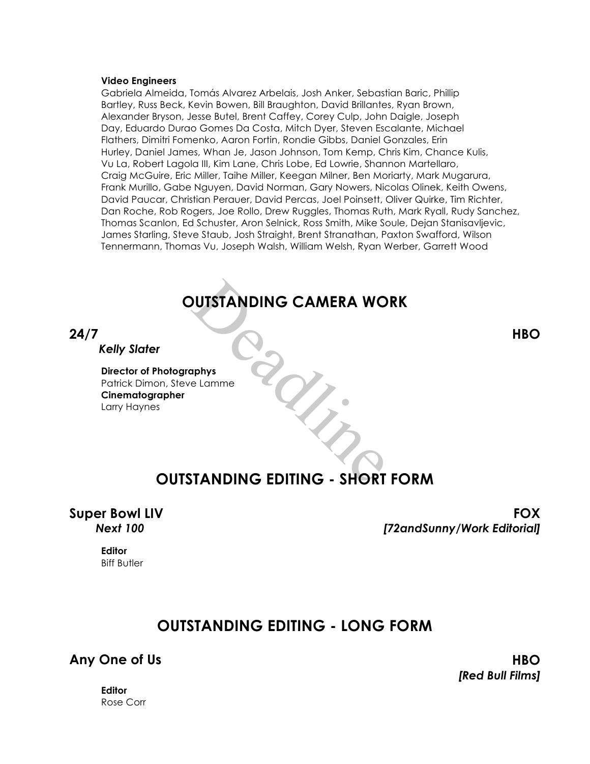### **Video Engineers**

Gabriela Almeida, Tomás Alvarez Arbelais, Josh Anker, Sebastian Baric, Phillip Bartley, Russ Beck, Kevin Bowen, Bill Braughton, David Brillantes, Ryan Brown, Alexander Bryson, Jesse Butel, Brent Caffey, Corey Culp, John Daigle, Joseph Day, Eduardo Durao Gomes Da Costa, Mitch Dyer, Steven Escalante, Michael Flathers, Dimitri Fomenko, Aaron Fortin, Rondie Gibbs, Daniel Gonzales, Erin Hurley, Daniel James, Whan Je, Jason Johnson, Tom Kemp, Chris Kim, Chance Kulis, Vu La, Robert Lagola III, Kim Lane, Chris Lobe, Ed Lowrie, Shannon Martellaro, Craig McGuire, Eric Miller, Taihe Miller, Keegan Milner, Ben Moriarty, Mark Mugarura, Frank Murillo, Gabe Nguyen, David Norman, Gary Nowers, Nicolas Olinek, Keith Owens, David Paucar, Christian Perauer, David Percas, Joel Poinsett, Oliver Quirke, Tim Richter, Dan Roche, Rob Rogers, Joe Rollo, Drew Ruggles, Thomas Ruth, Mark Ryall, Rudy Sanchez, Thomas Scanlon, Ed Schuster, Aron Selnick, Ross Smith, Mike Soule, Dejan Stanisavljevic, James Starling, Steve Staub, Josh Straight, Brent Stranathan, Paxton Swafford, Wilson Tennermann, Thomas Vu, Joseph Walsh, William Welsh, Ryan Werber, Garrett Wood

# **OUTSTANDING CAMERA WORK** DUTSTANDING CAMERA WO

**24/7 HBO**

*Kelly Slater*

**Director of Photographys** Patrick Dimon, Steve Lamme **Cinematographer** Larry Haynes

# **OUTSTANDING EDITING - SHORT FORM**

**Super Bowl LIV FOX** *Next 100 [72andSunny/Work Editorial]*

**Editor** Biff Butler

# **OUTSTANDING EDITING - LONG FORM**

# **Any One of Us HBO**

*[Red Bull Films]*

**Editor** Rose Corr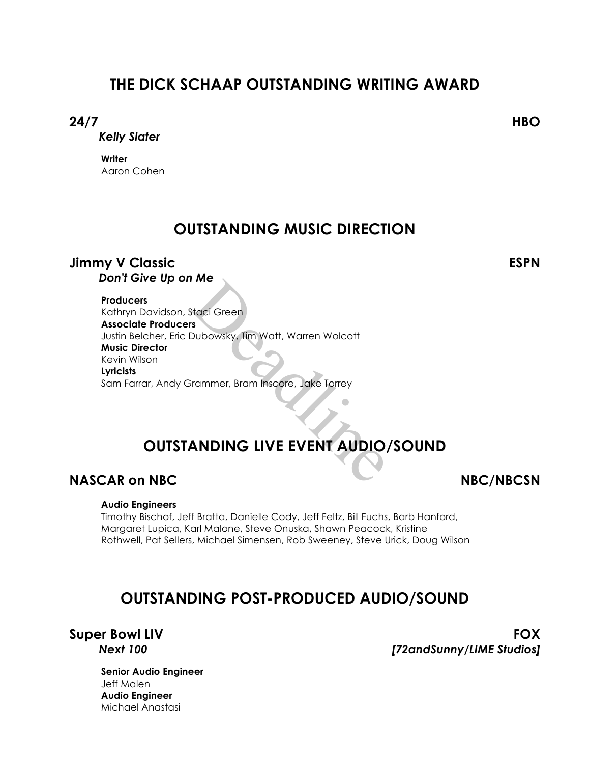# **THE DICK SCHAAP OUTSTANDING WRITING AWARD**

# **24/7 HBO**

*Kelly Slater*

**Writer** Aaron Cohen

# **OUTSTANDING MUSIC DIRECTION**

# **Jimmy V Classic ESPN**

*Don't Give Up on Me*

**Producers**

Kathryn Davidson, Staci Green **Associate Producers** Justin Belcher, Eric Dubowsky, Tim Watt, Warren Wolcott **Music Director** Kevin Wilson **Lyricists** Sam Farrar, Andy Grammer, Bram Inscore, Jake Torrey Staci Green<br>Subbowsky, Tim Watt, Warren Wolcott<br>Frammer, Bram Inscore, Jake Torrey<br>ANDING LIVE EVENT AUDIO

# **OUTSTANDING LIVE EVENT AUDIO/SOUND**

# **NASCAR on NBC** NBC/NBCSN

# **Audio Engineers**

Timothy Bischof, Jeff Bratta, Danielle Cody, Jeff Feltz, Bill Fuchs, Barb Hanford, Margaret Lupica, Karl Malone, Steve Onuska, Shawn Peacock, Kristine Rothwell, Pat Sellers, Michael Simensen, Rob Sweeney, Steve Urick, Doug Wilson

# **OUTSTANDING POST-PRODUCED AUDIO/SOUND**

**Super Bowl LIV FOX** *Next 100 [72andSunny/LIME Studios]*

**Senior Audio Engineer** Jeff Malen **Audio Engineer** Michael Anastasi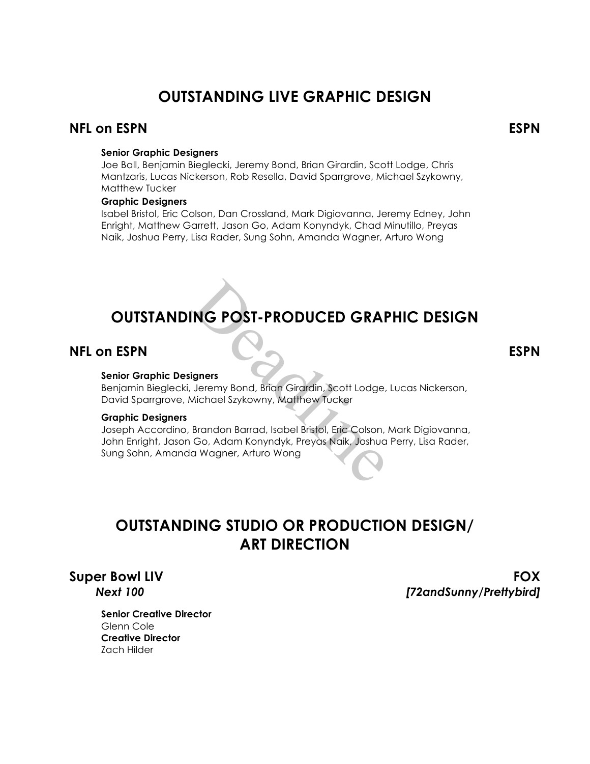# **OUTSTANDING LIVE GRAPHIC DESIGN**

# **NFL on ESPN ESPN**

### **Senior Graphic Designers**

Joe Ball, Benjamin Bieglecki, Jeremy Bond, Brian Girardin, Scott Lodge, Chris Mantzaris, Lucas Nickerson, Rob Resella, David Sparrgrove, Michael Szykowny, Matthew Tucker

### **Graphic Designers**

Isabel Bristol, Eric Colson, Dan Crossland, Mark Digiovanna, Jeremy Edney, John Enright, Matthew Garrett, Jason Go, Adam Konyndyk, Chad Minutillo, Preyas Naik, Joshua Perry, Lisa Rader, Sung Sohn, Amanda Wagner, Arturo Wong

# **OUTSTANDING POST-PRODUCED GRAPHIC DESIGN**

# **NFL on ESPN ESPN**

### **Senior Graphic Designers**

Benjamin Bieglecki, Jeremy Bond, Brian Girardin, Scott Lodge, Lucas Nickerson, David Sparrgrove, Michael Szykowny, Matthew Tucker

### **Graphic Designers**

Joseph Accordino, Brandon Barrad, Isabel Bristol, Eric Colson, Mark Digiovanna, John Enright, Jason Go, Adam Konyndyk, Preyas Naik, Joshua Perry, Lisa Rader, Sung Sohn, Amanda Wagner, Arturo Wong **ING POST-PRODUCED GRAF**<br>
Jeremy Bond, Brian Girardin, Scott Lodge,<br>
Michael Szykowny, Matthew Tucker<br>
Brandon Barrad, Isabel Bristol, Eric Colson,<br>
Go, Adam Konyndyk, Preyas Naik, Joshua<br>
a Wagner, Arturo Wong

# **OUTSTANDING STUDIO OR PRODUCTION DESIGN/ ART DIRECTION**

**Super Bowl LIV FOX** *Next 100 [72andSunny/Prettybird]*

**Senior Creative Director** Glenn Cole **Creative Director** Zach Hilder